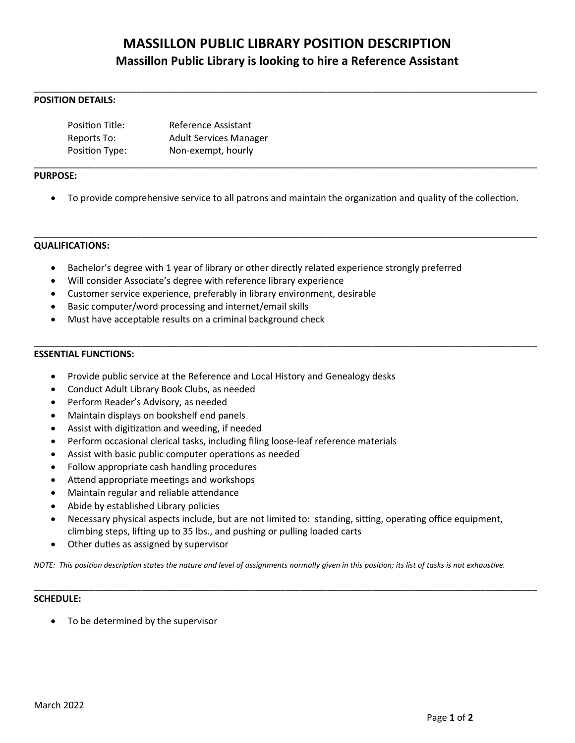# **MASSILLON PUBLIC LIBRARY POSITION DESCRIPTION Massillon Public Library is looking to hire a Reference Assistant**

\_\_\_\_\_\_\_\_\_\_\_\_\_\_\_\_\_\_\_\_\_\_\_\_\_\_\_\_\_\_\_\_\_\_\_\_\_\_\_\_\_\_\_\_\_\_\_\_\_\_\_\_\_\_\_\_\_\_\_\_\_\_\_\_\_\_\_\_\_\_\_\_\_\_\_\_\_\_\_\_\_\_\_\_\_\_\_\_\_\_\_\_\_\_\_\_\_\_

## **POSITION DETAILS:**

| Position Title: | Reference Assistant           |
|-----------------|-------------------------------|
| Reports To:     | <b>Adult Services Manager</b> |
| Position Type:  | Non-exempt, hourly            |

#### **PURPOSE:**

To provide comprehensive service to all patrons and maintain the organization and quality of the collection.

\_\_\_\_\_\_\_\_\_\_\_\_\_\_\_\_\_\_\_\_\_\_\_\_\_\_\_\_\_\_\_\_\_\_\_\_\_\_\_\_\_\_\_\_\_\_\_\_\_\_\_\_\_\_\_\_\_\_\_\_\_\_\_\_\_\_\_\_\_\_\_\_\_\_\_\_\_\_\_\_\_\_\_\_\_\_\_\_\_\_\_\_\_\_\_\_\_\_

\_\_\_\_\_\_\_\_\_\_\_\_\_\_\_\_\_\_\_\_\_\_\_\_\_\_\_\_\_\_\_\_\_\_\_\_\_\_\_\_\_\_\_\_\_\_\_\_\_\_\_\_\_\_\_\_\_\_\_\_\_\_\_\_\_\_\_\_\_\_\_\_\_\_\_\_\_\_\_\_\_\_\_\_\_\_\_\_\_\_\_\_\_\_\_\_\_\_

\_\_\_\_\_\_\_\_\_\_\_\_\_\_\_\_\_\_\_\_\_\_\_\_\_\_\_\_\_\_\_\_\_\_\_\_\_\_\_\_\_\_\_\_\_\_\_\_\_\_\_\_\_\_\_\_\_\_\_\_\_\_\_\_\_\_\_\_\_\_\_\_\_\_\_\_\_\_\_\_\_\_\_\_\_\_\_\_\_\_\_\_\_\_\_\_\_\_

#### **QUALIFICATIONS:**

- Bachelor's degree with 1 year of library or other directly related experience strongly preferred
- Will consider Associate's degree with reference library experience
- Customer service experience, preferably in library environment, desirable
- Basic computer/word processing and internet/email skills
- Must have acceptable results on a criminal background check

#### **ESSENTIAL FUNCTIONS:**

- Provide public service at the Reference and Local History and Genealogy desks
- Conduct Adult Library Book Clubs, as needed
- Perform Reader's Advisory, as needed
- Maintain displays on bookshelf end panels
- Assist with digitization and weeding, if needed
- Perform occasional clerical tasks, including filing loose-leaf reference materials
- Assist with basic public computer operations as needed
- Follow appropriate cash handling procedures
- Attend appropriate meetings and workshops
- Maintain regular and reliable attendance
- Abide by established Library policies
- Necessary physical aspects include, but are not limited to: standing, sitting, operating office equipment, climbing steps, lifting up to 35 lbs., and pushing or pulling loaded carts
- Other duties as assigned by supervisor

*NOTE: This position description states the nature and level of assignments normally given in this position; its list of tasks is not exhaustive.*

\_\_\_\_\_\_\_\_\_\_\_\_\_\_\_\_\_\_\_\_\_\_\_\_\_\_\_\_\_\_\_\_\_\_\_\_\_\_\_\_\_\_\_\_\_\_\_\_\_\_\_\_\_\_\_\_\_\_\_\_\_\_\_\_\_\_\_\_\_\_\_\_\_\_\_\_\_\_\_\_\_\_\_\_\_\_\_\_\_\_\_\_\_\_\_\_\_\_

### **SCHEDULE:**

To be determined by the supervisor